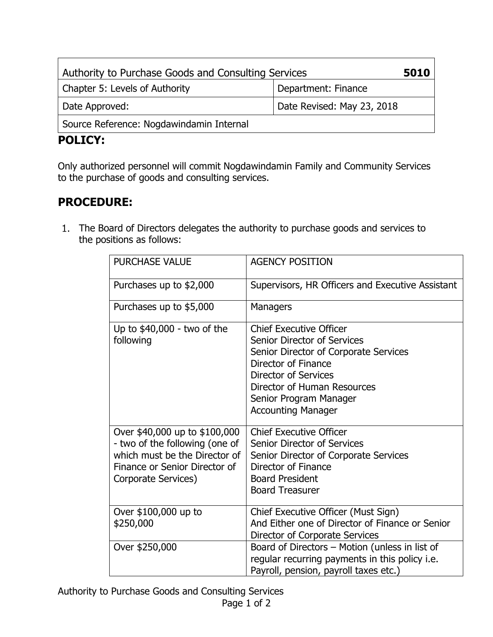| Authority to Purchase Goods and Consulting Services |                            | 5010 |
|-----------------------------------------------------|----------------------------|------|
| Chapter 5: Levels of Authority                      | Department: Finance        |      |
| Date Approved:                                      | Date Revised: May 23, 2018 |      |
| Source Reference: Nogdawindamin Internal            |                            |      |

## **POLICY:**

Only authorized personnel will commit Nogdawindamin Family and Community Services to the purchase of goods and consulting services.

## **PROCEDURE:**

1. The Board of Directors delegates the authority to purchase goods and services to the positions as follows:

| <b>PURCHASE VALUE</b>                                                                                                                                    | <b>AGENCY POSITION</b>                                                                                                                                                                                                                                    |
|----------------------------------------------------------------------------------------------------------------------------------------------------------|-----------------------------------------------------------------------------------------------------------------------------------------------------------------------------------------------------------------------------------------------------------|
| Purchases up to \$2,000                                                                                                                                  | Supervisors, HR Officers and Executive Assistant                                                                                                                                                                                                          |
| Purchases up to \$5,000                                                                                                                                  | Managers                                                                                                                                                                                                                                                  |
| Up to \$40,000 - two of the<br>following                                                                                                                 | <b>Chief Executive Officer</b><br><b>Senior Director of Services</b><br>Senior Director of Corporate Services<br>Director of Finance<br><b>Director of Services</b><br>Director of Human Resources<br>Senior Program Manager<br><b>Accounting Manager</b> |
| Over \$40,000 up to \$100,000<br>- two of the following (one of<br>which must be the Director of<br>Finance or Senior Director of<br>Corporate Services) | <b>Chief Executive Officer</b><br><b>Senior Director of Services</b><br>Senior Director of Corporate Services<br>Director of Finance<br><b>Board President</b><br><b>Board Treasurer</b>                                                                  |
| Over \$100,000 up to<br>\$250,000                                                                                                                        | Chief Executive Officer (Must Sign)<br>And Either one of Director of Finance or Senior<br>Director of Corporate Services                                                                                                                                  |
| Over \$250,000                                                                                                                                           | Board of Directors - Motion (unless in list of<br>regular recurring payments in this policy i.e.<br>Payroll, pension, payroll taxes etc.)                                                                                                                 |